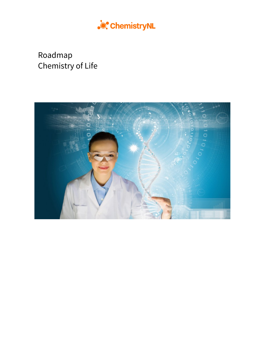

# Roadmap Chemistry of Life

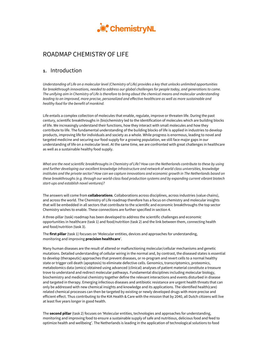

## ROADMAP CHEMISTRY OF LIFE

## **1.** Introduction

*Understanding of Life on a molecular level (Chemistry of Life) provides a key that unlocks unlimited opportunities for breakthrough innovations, needed to address our global challenges for people today, and generations to come. The unifying aim in Chemistry of Life is therefore to bring about the chemical means and molecular understanding leading to an improved, more precise, personalized and effective healthcare as well as more sustainable and healthy food for the benefit of mankind.*

Life entails a complex collection of molecules that enable, regulate, improve or threaten life. During the past century, scientific breakthroughs in (bio)chemistry led to the identification of molecules which are building blocks of life. We increasingly understand their functions, how they interact with small molecules and how they contribute to life. The fundamental understanding of the building blocks of life is applied in industries to develop products, improving life for individuals and society as a whole. While progress is enormous, leading to novel and targeted medicine and securing our food supply for a growing population, we still face major gaps in our understanding of life on a molecular level. At the same time, we are confronted with great challenges in healthcare as well as a sustainable healthy food supply.

*What are the next scientific breakthroughs in Chemistry of Life? How can the Netherlands contribute to these by using and further developing our excellent knowledge infrastructure and network of world class universities, knowledge institutes and the private sector? How can we capture innovations and economic growth in The Netherlands based on these breakthroughs (e.g. through our world-class food production systems and by expanding current vibrant biotech start-ups and establish novel ventures)?*

The answers will come from **collaborations**. Collaborations across disciplines, across industries (value chains), and across the world. The Chemistry of Life roadmap therefore has a focus on chemistry and molecular insights that will be embedded in all sectors that contribute to the scientific and economic breakthroughs the top sector Chemistry wishes to enable. These connections are further specified in section 4.

A three-pillar (task) roadmap has been developed to address the scientific challenges and economic opportunities in healthcare (task 1) and food/nutrition (task 2) and the link between them, connecting health and food/nutrition (task 3).

The **first pillar** (task 1) focuses on 'Molecular entities, devices and approaches for understanding, monitoring and improving **precision healthcare**'.

Many human diseases are the result of altered or malfunctioning molecular/cellular mechanisms and genetic mutations. Detailed understanding of cellular wiring in the normal and, by contrast, the diseased states is essential to develop (therapeutic) approaches that prevent diseases, or re-program and revert cells to a normal healthy state or trigger cell death (apoptosis) to eliminate defective cells. Genomics, transcriptomics, proteomics, metabolomics data (omics) obtained using advanced (clinical) analyses of patient material constitute a treasure trove to understand and redirect molecular pathways. Fundamental disciplines including molecular biology, biochemistry and medicinal chemistry together define the relevant interactions and events disturbed in disease and targeted in therapy. Emerging infectious diseases and antibiotic resistance are urgent health threats that can only be addressed with new chemical insights and knowledge and its applications. The identified health(care) related chemical processes can then be targeted by existing or newly developed drugs with more precise and efficient effect. Thus contributing to the KIA Health & Care with the mission that by 2040, all Dutch citizens will live at least five years longer in good health.

The **second pillar** (task 2) focuses on 'Molecular entities, technologies and approaches for understanding, monitoring and improving food to ensure a sustainable supply of safe and nutritious, delicious food and feed to optimize health and wellbeing'. The Netherlands is leading in the application of technological solutions to food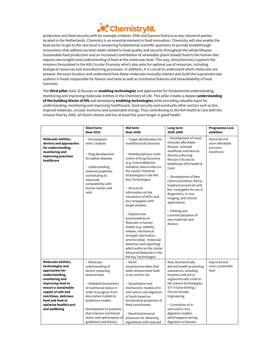

production and food security with for example Unilever, DSM and Danone Nutricia as key industrial parties located in the Netherlands. Chemistry is an essential element in food innovation. Chemistry will also enable the food sector to get to the next level in answering fundamental scientific questions to provide breakthrough innovations that address societal needs related to food quality and security throughout the whole lifespan. Sustainable food production and an increased contribution of renewable (plant-based) food to the human diet require new insights and understanding of food at the molecular level. This way, (bio)chemistry supports the missions formulated in the KIA Circular Economy which also aims for optimal use of resources, including biological resources and manufacturing processes. In addition, it is crucial to understand which molecules are present, the exact location and understand how these molecules mutually interact and build the supramolecular systems in foods responsible for flavour and taste as well as nutritional features and bioavailability of food nutrients.

The **third pillar** (task 3) focuses on **enabling technologies** and approaches for fundamental understanding, monitoring and improving molecular entities in the Chemistry of Life. This pillar creates a deeper **understanding of the building blocks of life** and developing **enabling technologies** while providing valuable input for understanding, monitoring and improving health(care), food security and eventually other sectors such as bioinspired materials, circular economy and sustainable energy. Thus contributing to the KIA Health & Care with the mission that by 2040, all Dutch citizens will live at least five years longer in good health.

|                                                                                                                                                                                                                                                         | <b>Short term</b><br><b>Now-2022</b>                                                                                                                                                                       | Mid term<br><b>Now-2030</b>                                                                                                                                                                                                                                                                                                                                                                                                                                                                                                                                                                                                                     | Long term<br>2030-2040                                                                                                                                                                                                                                                                                                                                                                                                                  | <b>Programme Line</b><br>ambition                          |
|---------------------------------------------------------------------------------------------------------------------------------------------------------------------------------------------------------------------------------------------------------|------------------------------------------------------------------------------------------------------------------------------------------------------------------------------------------------------------|-------------------------------------------------------------------------------------------------------------------------------------------------------------------------------------------------------------------------------------------------------------------------------------------------------------------------------------------------------------------------------------------------------------------------------------------------------------------------------------------------------------------------------------------------------------------------------------------------------------------------------------------------|-----------------------------------------------------------------------------------------------------------------------------------------------------------------------------------------------------------------------------------------------------------------------------------------------------------------------------------------------------------------------------------------------------------------------------------------|------------------------------------------------------------|
| Molecular entities,<br>devices and approaches<br>for understanding,<br>monitoring and<br>improving precision<br>healthcare                                                                                                                              | - Personalized<br>omics analysis<br>- Drug development<br>for orphan diseases<br>- Understanding<br>material properties<br>contributing to<br>improved<br>compatibility with<br>human bodies and<br>cells. | - Target identification for<br>(multifactorial) diseases<br>- Multidisciplinary multi-<br>centre of Drug Discovery<br>(e.g. Future Medicine<br>Initiative) which enforces<br>the cluster Chemical<br>technologies in the KIA<br>Key Technologies<br>- Structural<br>information on the<br>interaction of NCEs and<br>bio-conjugates with<br>target proteins<br>- Explore new<br>functionalities of<br>Materials in human<br>bodies (e.g. stability,<br>release, mechanical<br>strength, lubrication,<br>antimicrobial, molecular<br>detection and reporting)<br>which enforces the cluster<br>Advanced Materials in the<br>KIA Key Technologies | - Development of novel<br>clinically affordable<br>disease- oriented<br>workflows and devices<br>directly enforcing<br>Mission II Access to<br>Healthcare (KIA Health &<br>Care)<br>- Development of New<br>Chemical Entities (NCEs),<br>biopharmaceuticals and<br>bio-conjugates for use in<br>diagnostics, in vivo<br>imaging, and clinical<br>applications<br>- Piloting and<br>commercialization of<br>new materials and<br>devices | Improved and<br>more affordable<br>precision<br>healthcare |
| Molecular entities,<br>technologies and<br>approaches for<br>understanding,<br>monitoring and<br>improving food to<br>ensure a sustainable<br>supply of safe and<br>nutritious, delicious<br>food and feed to<br>optimize health(care)<br>and wellbeing | - Molecular<br>understanding of<br>factors impacting<br>texture/taste<br>- Validated biomarkers<br>of nutritional status in<br>order to progress from<br>descriptive models to<br>predictive models        | - Novel<br>enzymes/microbes that<br>tailor texture/taste both<br>in-situ and ex-situ<br>- Quantitative and<br>mechanistic models of in<br>vitro and in vivo digestion<br>of foods based on<br>biochemical properties of<br>food constituents                                                                                                                                                                                                                                                                                                                                                                                                    | New, biochemically<br>derived health promoting<br>substances, including<br>enzymes and micro-<br>organisms with a link to<br>life science technologies:<br>ST7-4 Gene Editing /<br><b>Precise Genetic</b><br>Engineering<br>- Correlation of in<br>vitro and in vivo                                                                                                                                                                    | Improved and<br>more sustainable<br>food                   |
|                                                                                                                                                                                                                                                         | Development of products<br>that improve nutritional<br>status and optimization of<br>guidelines and dietary                                                                                                | - Novel biochemical<br>processes for obtaining<br>ingredients with reduced                                                                                                                                                                                                                                                                                                                                                                                                                                                                                                                                                                      | digestion models:<br>what happens during<br>digestion in humans                                                                                                                                                                                                                                                                                                                                                                         |                                                            |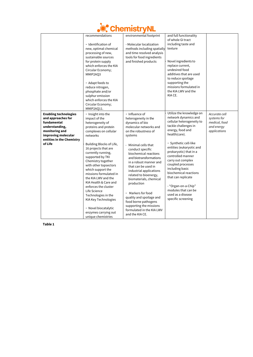

|                                                                                                                                                                      | recommendations<br>- Identification of<br>new, optimal chemical<br>processing of new,<br>sustainable sources<br>for protein supply<br>which enforces the KIA<br>Circular Economy;<br>MMIP2AQ3<br>- Adapt feeds to<br>reduce nitrogen,<br>phosphate and/or<br>sulphur emission<br>which enforces the KIA<br>Circular Economy;<br>MMIP2AQ11.                                                                                                                                                                                    | environmental footprint<br>- Molecular localization<br>methods including spatially<br>and time resolved analysis<br>tools for food ingredients<br>and finished products                                                                                                                                                                                                                                                                                                                                                 | and full functionality<br>of whole GI tract<br>including taste and<br>texture<br>Novel ingredients to<br>replace current,<br>undesired food<br>additives that are used<br>to reduce spoilage<br>supporting the<br>missions formulated in<br>the KIA LWV and the<br>KIA CE.                                                                                                                                                                          |                                                                             |
|----------------------------------------------------------------------------------------------------------------------------------------------------------------------|-------------------------------------------------------------------------------------------------------------------------------------------------------------------------------------------------------------------------------------------------------------------------------------------------------------------------------------------------------------------------------------------------------------------------------------------------------------------------------------------------------------------------------|-------------------------------------------------------------------------------------------------------------------------------------------------------------------------------------------------------------------------------------------------------------------------------------------------------------------------------------------------------------------------------------------------------------------------------------------------------------------------------------------------------------------------|-----------------------------------------------------------------------------------------------------------------------------------------------------------------------------------------------------------------------------------------------------------------------------------------------------------------------------------------------------------------------------------------------------------------------------------------------------|-----------------------------------------------------------------------------|
| <b>Enabling technologies</b><br>and approaches for<br>fundamental<br>understanding,<br>monitoring and<br>improving molecular<br>entities in the Chemistry<br>of Life | - Insight into the<br>impact of the<br>heterogeneity of<br>proteins and protein<br>complexes on cellular<br>networks<br>Building Blocks of Life,<br>16 projects that are<br>currently running,<br>supported by TKI<br>Chemistry together<br>with other topsectors<br>which support the<br>missions formulated in<br>the KIA LWV and the<br>KIA Health & Care and<br>enforces the cluster<br>Life Science<br>Technologies in the<br>KIA Key Technologies<br>- Novel biocatalytic<br>enzymes carrying out<br>unique chemistries | - Influence of<br>heterogeneity in the<br>dynamics of bio<br>molecular networks and<br>on the robustness of<br>systems<br>- Minimal cells that<br>conduct specific<br>biochemical reactions<br>and biotransformations<br>in a robust manner and<br>that can be used in<br>industrial applications<br>related to bioenergy,<br>biomaterials, chemical<br>production<br>- Markers for food<br>quality and spoilage and<br>food borne pathogens<br>supporting the missions<br>formulated in the KIA LWV<br>and the KIA CE. | Utilize the knowledge on<br>network dynamics and<br>cellular heterogeneity to<br>tackle challenges in<br>energy, food and<br>health(care).<br>- Synthetic cell-like<br>entities (eukaryotic and<br>prokaryotic) that in a<br>controlled manner<br>carry out complex<br>coupled processes<br>including basic<br>biochemical reactions<br>that can replicate<br>- "Organ-on-a-Chip"<br>modules that can be<br>used as a disease<br>specific screening | Accurate cell<br>systems for<br>medical, food<br>and energy<br>applications |

**Table 1**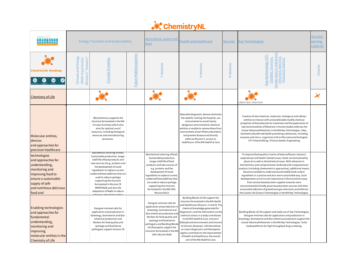|                                                                                                                                                                               | <b>Energy Transition and Sustainability</b>                        |                                                                                                                                                                                                                                                                                                                                                                                           |                        | Agriculture, water and<br>food                                                                                                                                                                                                                                                                                                                      | <b>Health and Healthcare</b>                                                                                                                                                                                                                                                                                                                                                                                                                                                                                                            | Security             | <b>Key Technologies</b>                                                                                                                                                                                                                                                                                                                                                                                                                                                                                                                                                                                                                                                                                                                                                               | Societal<br>earning<br>capacity |
|-------------------------------------------------------------------------------------------------------------------------------------------------------------------------------|--------------------------------------------------------------------|-------------------------------------------------------------------------------------------------------------------------------------------------------------------------------------------------------------------------------------------------------------------------------------------------------------------------------------------------------------------------------------------|------------------------|-----------------------------------------------------------------------------------------------------------------------------------------------------------------------------------------------------------------------------------------------------------------------------------------------------------------------------------------------------|-----------------------------------------------------------------------------------------------------------------------------------------------------------------------------------------------------------------------------------------------------------------------------------------------------------------------------------------------------------------------------------------------------------------------------------------------------------------------------------------------------------------------------------------|----------------------|---------------------------------------------------------------------------------------------------------------------------------------------------------------------------------------------------------------------------------------------------------------------------------------------------------------------------------------------------------------------------------------------------------------------------------------------------------------------------------------------------------------------------------------------------------------------------------------------------------------------------------------------------------------------------------------------------------------------------------------------------------------------------------------|---------------------------------|
| <b>ChemistryNL Roadmap</b><br>$\circledcirc$<br>S<br>$\bullet$                                                                                                                | Mission C "Industry"<br>Climate and Energy<br>(IKIA) in particular | Circular Economy                                                                                                                                                                                                                                                                                                                                                                          | Future Mobilitysystems | 7 missions                                                                                                                                                                                                                                                                                                                                          | missions                                                                                                                                                                                                                                                                                                                                                                                                                                                                                                                                | missions<br>$\infty$ | AdvMat, DigTech, EngFabTech<br>Key technnology (ST)<br>clusters: ChemTech,<br><u>LifesciTech, N</u><br>PhotoTech,                                                                                                                                                                                                                                                                                                                                                                                                                                                                                                                                                                                                                                                                     | 3 tracks                        |
| <b>Chemistry of Life</b>                                                                                                                                                      |                                                                    |                                                                                                                                                                                                                                                                                                                                                                                           |                        |                                                                                                                                                                                                                                                                                                                                                     |                                                                                                                                                                                                                                                                                                                                                                                                                                                                                                                                         |                      | LifeSciTech, ChemTech                                                                                                                                                                                                                                                                                                                                                                                                                                                                                                                                                                                                                                                                                                                                                                 | $\alpha$                        |
| Molecular entities,<br>devices<br>and approaches for<br>precision healthcare                                                                                                  |                                                                    | (Bio)chemistry supports the<br>missions formulated in the KIA<br>Circular Economy which also<br>aims for optimal use of<br>resources, including biological<br>resources and manufacturing<br>processes.                                                                                                                                                                                   |                        |                                                                                                                                                                                                                                                                                                                                                     | Wearable diagnostic devices eliminate<br>the need for visiting the hospital, are<br>instrumental to avoid clearly<br>dangerous environmental chemical<br>entities or enable to remove these from<br>environment (smart filters/absorbers)<br>and prevent disease and directly<br>enforces Mission II, access to<br>healthcare of the KIA Health & Care                                                                                                                                                                                  |                      | Creation of new chemical, molecular, biological and cellular<br>entities to interact with and predictably modify chemical<br>properties of biomolecules for treatment and the exploration of<br>new functionalities of Materials in human bodies enforces the<br>cluster Advanced Materials in the KIA Key Technologies; New,<br>biochemically derived health promoting substances, including<br>enzymes and micro- organisms link to life science technologies:<br>ST7-4 Gene Editing / Precise Genetic Engineering                                                                                                                                                                                                                                                                  |                                 |
| technologies<br>and approaches for<br>understanding,<br>monitoring and<br>improving food to<br>ensure a sustainable<br>supply of safe<br>and nutritious delicious<br>food and |                                                                    | Biochemical tailoring of rood,<br>Sustainable production, longer<br>shelf life of food products and<br>new sources of e.g. proteins and<br>the development of novel<br>ingredients to replace current,<br>undesired food additives that are<br>used to reduce spoilage<br>supporting the missions<br>formulated in Mission CE<br>(MMIP2AQ3) and also the<br>adaptation of feeds to reduce |                        | Biochemical tailoring of food,<br>Sustainable production,<br>longer shelf life of food<br>products and new sources of<br>e.g. proteins and the<br>development of novel<br>ingredients to replace current,<br>undesired food additives that<br>are used to reduce spoilage<br>supporting the missions<br>formulated in the KIA LWV;<br>Mission B & D |                                                                                                                                                                                                                                                                                                                                                                                                                                                                                                                                         |                      | To improve food quality in terms of texture/flavour (sensoric<br>experiences) and health related issues, foods can be tailored by<br>physical as well as (bio)chemical ways. With advances in<br>biochemistry and compositional combined with computational<br>analysis (including chemometrics approaches), additional means<br>became available to understand and modify foods and/or<br>ingredients in a precise and also more sustainable way. Such<br>developments are of crucial importance in the transition away<br>from animal-based protein supplies towards more<br>environmentally friendly plant-based protein sources with their<br>associated reduction of greenhouse gas emissions and enforces<br>the cluster Life Science Technologies in the KIA Key Technologies. |                                 |
| <b>Enabling technologies</b><br>and approaches for<br>fundamental<br>understanding,<br>monitoring and<br>improving<br>molecular entities in the<br><b>Chemistry of Life</b>   |                                                                    | Designer minimal cells for<br>application and production in<br>bioenergy, biomaterial and (bio-<br>)chemical production and<br>Markers for food quality and<br>spoilage and food borne<br>pathogens support mission CE                                                                                                                                                                    |                        | Designer minimal cells for<br>application and production in<br>bioenergy, biomaterial and<br>(bio-)chemical production and<br>Markers for food quality and<br>spoilage and food borne<br>pathogens and Building Blocks<br>of Life projects support the<br>missions formulated in the KIA<br>LWV; Mission B &D                                       | Building Blocks of Life support the<br>missions formulated in the KIA Health<br>Ind Healthcare; Mission I, II and III; The<br>chemical knowledge generated for<br>diagnostics and the information on the<br>chemical status in a body contributes<br>to the KIA Health & Care, mission I<br>ifestyle and environment) and mission<br>III (chronic diseases). Cell like entities<br>as smart diagnostic and therapeutic<br>gents contribute to the improvement<br>of health and healthcare, the overall<br>aim of the KIA Health & Care. |                      | Building Blocks of Life support and make use of Key Technologies;<br>Designer minimal cells for application and production in<br>bioenergy, biomaterial and (bio-)chemical production support the<br>cluster Advanced Materials in the KIA Key Technologies; Tailor<br>made platforms for high throughput drug screening.                                                                                                                                                                                                                                                                                                                                                                                                                                                             |                                 |

# **ChemistryNL**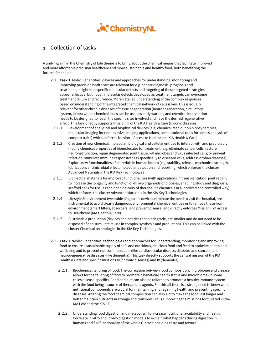

## **2.** Collection of tasks

A unifying aim in the Chemistry of Life theme is to bring about the chemical means that facilitate improved and more affordable precision healthcare and more sustainable and healthy food, both benefitting the future of mankind.

- 2.1. **Task 1**: Molecular entities, devices and approaches for understanding, monitoring and improving precision healthcare are relevant for e.g. cancer diagnosis, prognosis and treatment. Insight into specific molecular defects and targeting of these targeted strategies appear effective, but not all molecular defects developed as treatment targets can overcome treatment failure and recurrence. More detailed understanding of the complex responses based on understanding of the integrated chemical network of cells is key. This is equally relevant for other chronic diseases of tissue degeneration (neurodegeneration, circulatory system, joints) where chemical clues can be used as early warning and chemical intervention needs to be designed to reach the specific sites involved and have the desired regenerative effect. This task directly supports mission III of the KIA Health & Care (chronic diseases).
	- 2.1.1 Development of analytical and biophysical devices (e.g. chemical read out on biopsy samples, molecular imaging for non-invasive imaging applications, computational tools for -omics analysis of complex traits) which enforces Mission II Access to Healthcare (KIA Health & Care)
- 2.1.2 Creation of new chemical, molecular, biological and cellular entities to interact with and predictably modify chemical properties of biomolecules for treatment (e.g. eliminate cancer cells, restore neuronal function, repair degenerated joint tissue, kill microbes and virus infected cells, or prevent infection, stimulate immune responsiveness specifically to diseased cells, address orphan diseases). Explore new functionalities of materials in human bodies (e.g. stability, release, mechanical strength, lubrication, antimicrobial effect, molecular detection and reporting) which enforces the cluster Advanced Materials in the KIA Key Technologies
- 2.1.3 Biomedical materials for improved functionalities (with applications in transplantation, joint repair, to increase the longevity and function of *ex vivo* organoids or biopsies, enabling study and diagnosis, scaffold cells for tissue repair and delivery of therapeutic chemicals in a localized and controlled way) which enforces the cluster Advanced Materials in the KIA Key Technologies
- 2.1.4 Lifestyle & environment (wearable diagnostic devices eliminate the need to visit the hospital, are instrumental to avoid clearly dangerous environmental chemical entities or to remove these from environment (smart filters/absorbers) and prevent disease) and directly enforces Mission II of access to Healthcare (KIA Health & Care)
- 2.1.5 Sustainable production (devices and entities that biodegrade, are smaller and do not need to be disposed of and stimulate re-use in complex synthesis and production). This can be linked with the cluster Chemical technologies in the KIA Key Technologies.
- 2.2. **Task 2**: 'Molecular entities, technologies and approaches for understanding, monitoring and improving food to ensure a sustainable supply of safe and nutritious, delicious food and feed to optimize health and wellbeing and to prevent noncommunicable (like cardiovascular disease, diabetes and cancers) and neurodegenerative diseases (like dementia). This task directly supports the central mission of the KIA Health & Care and specific missions III (chronic diseases) and IV (dementia).
	- 2.2.1. Biochemical tailoring of food. The correlation between food composition, microbiome and disease allows for the tailoring of food to promote a beneficial health status and microbiome (in some cases disease-specific). Food and diet can also be tailored to promote a healthy immune system with the food being a source of therapeutic agents. For this all there is a strong need to know what nutritional components are crucial for maintaining and regaining health and preventing specific diseases. Altering the food chemical composition can also aid to make the food last longer and better maintain nutrients in storage and transport. Thus supporting the missions formulated in the KIA LWV and the KIA CE
	- 2.2.2. Understanding food digestion and metabolism to increase nutritional availability and health. Correlate in vitro and in vivo digestion models to explain what happens during digestion in humans and full functionality of the whole GI tract including taste and texture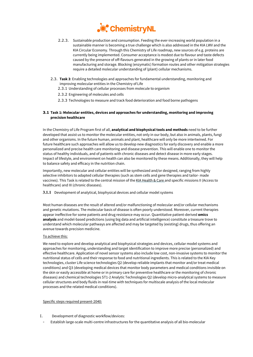

- 2.2.3. Sustainable production and consumption. Feeding the ever-increasing world population in a sustainable manner is becoming a true challenge which is also addressed in the KIA LWV and the KIA Circular Economy. Through this Chemistry of Life roadmap, new sources of e.g. proteins are currently being implemented. Consumer acceptance is modest due to flavour and taste defects caused by the presence of off-flavours generated in the growing of plants or in later food manufacturing and storage. Blocking (enzymatic) formation routes and other mitigation strategies require a detailed molecular understanding of (plant) cellular mechanisms.
- 2.3. **Task 3**: Enabling technologies and approaches for fundamental understanding, monitoring and improving molecular entities in the Chemistry of Life
	- 2.3.1 Understanding of cellular processes from molecule to organism
	- 2.3.2 Engineering of molecules and cells
	- 2.3.3 Technologies to measure and track food deterioration and food borne pathogens

#### **3.1 Task 1: Molecular entities, devices and approaches for understanding, monitoring and improving precision healthcare**

In the Chemistry of Life Program first of all, **analytical and biophysical tools and methods** need to be further developed that assist us to monitor the molecular entities, not only in our body, but also in animals, plants, fungi and other organisms. In the future human, animals and plant, healthcare will only be more intertwined. For future healthcare such approaches will allow us to develop new diagnostics for early discovery and enable a more personalized and precise health care monitoring and disease prevention. This will enable one to monitor the status of healthy individuals, and of patients with chronic diseases and detect disease in more early stages. Impact of lifestyle, and environment on health can also be monitored by these means. Additionally, they will help to balance safety and efficacy in the nutrition chain.

Importantly, new molecular and cellular entities will be synthesized and/or designed, ranging from highly selective inhibitors to adapted cellular therapies (such as stem cells and gene therapies and tailor- made vaccines). This Task is related to the central mission of th[e KIA Health & Care](https://www.health-holland.com/public/publications/kia/kennis-en-innovatieagenda-2020-2023-gezondheid-en-zorg.pdf) and specific missions II (Access to healthcare) and III (chronic diseases).

#### **3.1.1** Development of analytical, biophysical devices and cellular model systems

Most human diseases are the result of altered and/or malfunctioning of molecular and/or cellular mechanisms and genetic mutations. The molecular basis of disease is often poorly understood. Moreover, current therapies appear ineffective for some patients and drug resistance may occur. Quantitative patient-derived **omics analysis** and model-based predictions (using big data and artificial intelligence) constitute a treasure trove to understand which molecular pathways are affected and may be targeted by (existing) drugs, thus offering an avenue towards precision medicine.

#### To achieve this:

We need to explore and develop analytical and biophysical strategies and devices, cellular model systems and approaches for monitoring, understanding and target identification to improve more precise (personalized) and effective healthcare. Application of novel sensor systems also include low cost, non-invasive systems to monitor the nutritional status of cells and their response to food and nutritional ingredients. This is related to the KIA Key technologies, cluster Life science technologies Q2 (develop reliable implants that monitor and/or treat medical conditions) and Q3 (developing medical devices that monitor body parameters and medical conditions invisible on the skin or easily accessible at home or in primary care for preventive healthcare or the monitoring of chronic diseases) and chemical technologies ST1-2 Analytic Technologies Q2 (develop micro-analytical systems to measure cellular structures and body fluids in real-time with techniques for multiscale analysis of the local molecular processes and the related medical conditions).

#### Specific steps required present-2040:

- I. Development of diagnostic workflow/devices:
	- Establish large-scale multi-centre infrastructures for the quantitative analysis of all bio-molecular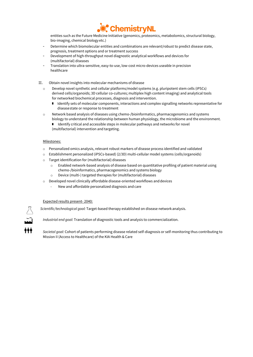

entities such as the Future Medicine Initiative (genomics, proteomics, metabolomics, structural biology, bio-imaging, chemical biology etc.)

- Determine which biomolecular entities and combinations are relevant/robust to predict disease state, prognosis, treatment options and or treatment success
- Development of high-throughput novel diagnostic analytical workflows and devices for (multifactorial) diseases
- Translation into ultra-sensitive, easy-to-use, low-cost micro-devices useable in precision healthcare
- II. Obtain novel insights into molecular mechanisms of disease
	- o Develop novel synthetic and cellular platforms/model systems (e.g. pluripotent stem cells (iPSCs) derived cells/organoids; 3D cellular co-cultures; multiplex high content imaging) and analytical tools for networked biochemical processes, diagnosis and intervention.
		- I Identify sets of molecular components, interactions and complex signalling networks representative for diseasestate or response to treatment
	- o Network based analysis of diseases using chemo-/bioinformatics, pharmacogenomics and systems biology to understand the relationship between human physiology, the microbiome and the environment.
		- Identify critical and accessible steps in molecular pathways and networks for novel (multifactorial) intervention and targeting.

#### Milestones:

- o Personalized omics analysis, relevant robust markers of disease process identified and validated
- o Establishment personalized (iPSCs-based) (2/3D) multi-cellular model systems (cells/organoids)
- o Target identification for (multifactorial) diseases
	- o Enabled network-based analysis of disease based on quantitative profiling of patient material using chemo-/bioinformatics, pharmacogenomics and systems biology
	- o Device (multi-) targeted therapies for (multifactorial) diseases
- o Developed novel clinically affordable disease-oriented workflows anddevices
	- New and affordable personalized diagnosis and care

#### Expected results present- 2040:

*Scientific/technological goal:* Target-based therapy established on disease network analysis.

*Industrial end goal:* Translation of diagnostic tools and analysis to commercialization.

*Societal goal:* Cohort of patients performing disease related self-diagnosis or self-monitoring thus contributing to Mission II (Access to Healthcare) of the KIA Health & Care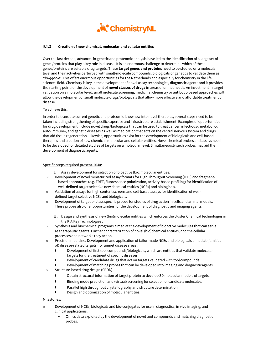

#### **3.1.2 Creation of new chemical, molecular and cellular entities**

Over the last decade, advances in genetic and proteomic analysis have led to the identification of a large set of genes/proteins that play a key role in disease. It is an enormous challenge to determine which of these genes/proteins are suitable drug targets. These **target genes and proteins** need to be studied on a molecular level and their activities perturbed with small-molecule compounds, biologicals or genetics to validate them as *'druggable'*. This offers enormous opportunities for the Netherlands and especially for chemistry in the life sciences field. Chemistry is key in the development of novel assay technologies, diagnostic agents and it provides the starting point for the development of **novel classes of drugs** in areas of unmet needs. An investment in target validation on a molecular level, small molecule screening, medicinal chemistry or antibody-based approaches will allow the development of small molecule drugs/biologicals that allow more effective and affordable treatment of disease.

#### To achieve this:

In order to translate current genetic and proteomic knowhow into novel therapies, several steps need to be taken including strengthening of specific expertise and infrastructure establishment. Examples of opportunities for drug development include novel drugs/biologicals that can be used to treat cancer, infectious-, metabolic-, auto-immune-, and genetic diseases as well as medication that acts on the central nervous system and drugs that aid tissue regeneration. Likewise, opportunities exist for the development of biologicals and cell-based therapies and creation of new chemical, molecular and cellular entities. Novel chemical probes and assays need to be developed for detailed studies of targets on a molecular level. Simultaneously such probes may aid the development of diagnostic agents.

#### Specific steps required present-2040:

- I. Assay development for selection of bioactive (bio)molecular entities:
- o Development of novel miniaturized assay formats for High Througput Screening (HTS) and fragmentbased approaches (e.g. FRET, fluorescence polarization, activity-based profiling) for identification of well-defined target selective new chemical entities (NCEs) and biologicals.
- o Validation of assays for high content screens and cell-based assays for identification of welldefined target selective NCEs and biologicals.
- o Development of target or class specific probes for studies of drug action in cells and animal models. These probes also offer opportunities for the development of diagnostic and imaging agents.
	- II. Design and synthesis of new (bio)molecular entities which enforces the cluster Chemical technologies in the KIA Key Technologies :
- o Synthesis and biochemical programs aimed at the development of bioactive molecules that can serve as therapeutic agents. Further characterization of novel (bio)chemical entities, and the cellular processes and networks they act on.
- o Precision medicine. Development and application of tailor-made NCEs and biologicals aimed at (families of) disease-related targets (for unmet diseaseareas).
	- Development of first tool compounds/biologicals, which are entities that validate molecular targets for the treatment of specific diseases.
	- Development of candidate drugs that act on targets validated with toolcompounds.
	- Development of matching probes that can be developed into imaging and diagnosticagents.
- o Structure-based drug design (SBDD)
	- Obtain structural information of target protein to develop 3D molecular models oftargets.
	- **Binding mode prediction and (virtual) screening for selection of candidate molecules.**
	- **F** Parallel high throughput crystallography and structure determination.
	- Design and optimization of molecular entities.

#### Milestones:

- Development of NCEs, biologicals and bio-conjugates for use in diagnostics, in vivo imaging, and clinical applications.
	- Omics data exploited by the development of novel tool compounds and matching diagnostic probes.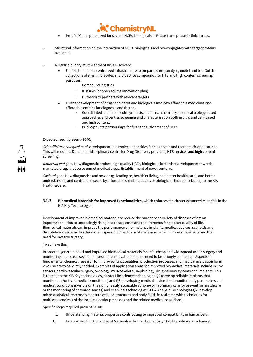

- Proof of Concept realized for several NCEs, biologicals in Phase 1 and phase 2 clinicaltrials.
- $\circ$  Structural information on the interaction of NCEs, biologicals and bio-conjugates with target proteins available
- o Multidisciplinary multi-centre of Drug Discovery:
	- Establishment of a centralized infrastructure to prepare, store, analyse, model and test Dutch collections of small molecules and bioactive compounds for HTS and high content screening purposes.
		- Compound logistics
		- IP issues (or open source innovation plan)
		- Outreach to partners with relevant targets
	- Further development of drug candidates and biologicals into new affordable medicines and affordable entities for diagnosis and therapy.
		- Coordinated small molecule synthesis, medicinal chemistry, chemical biology based approaches and central screening and characterisation both in vitro and cell- based and high content.
		- Public-private partnerships for further development of NCEs.

#### Expected result present- 2040:

*Scientific/technological goal:* development (bio)molecular entities for diagnostic and therapeutic applications. This will require a Dutch multidisciplinary centre for Drug Discovery providing HTS services and high content screening.

*Industrial end goal:* New diagnostic probes, high quality NCEs, biologicals for further development towards marketed drugs that serve unmet medical areas. Establishment of novel ventures.

*Societal goal:* New diagnostics and new drugs leading to, healthier living, and better health(care), and better understanding and control of disease by affordable small molecules or biologicals thus contributing to the KIA Health & Care.

#### **3.1.3 Biomedical Materials for improved functionalities,** which enforces the cluster Advanced Materials in the KIA Key Technologies

Development of improved biomedical materials to reduce the burden for a variety of diseases offers an important solution to unceasingly rising healthcare costs and requirements for a better quality of life. Biomedical materials can improve the performance of for instance implants, medical devices, scaffolds and drug delivery systems. Furthermore, superior biomedical materials may help minimize side-effects and the need for invasive surgery.

#### To achieve this:

In order to generate novel and improved biomedical materials for safe, cheap and widespread use in surgery and monitoring of disease, several phases of the innovation pipeline need to be strongly connected. Aspects of fundamental chemical research for improved functionalities, production processes and medical evaluation for in vivo use are to be jointly tackled. Examples of application areas for improved biomedical materials include in vivo sensors, cardiovascular surgery, oncology, muscoskeletal, nephrology, drug delivery systems and implants. This is related to the KIA Key technologies, cluster Life science technologies Q2 (develop reliable implants that monitor and/or treat medical conditions) and Q3 (developing medical devices that monitor body parameters and medical conditions invisible on the skin or easily accessible at home or in primary care for preventive healthcare or the monitoring of chronic diseases) and chemical technologies ST1-2 Analytic Technologies Q2 (develop micro-analytical systems to measure cellular structures and body fluids in real-time with techniques for multiscale analysis of the local molecular processes and the related medical conditions).

#### Specific steps required present-2040:

- I. Understanding material properties contributing to improved compatibility in humancells.
- II. Explore new functionalities of Materials in human bodies (e.g. stability, release, mechanical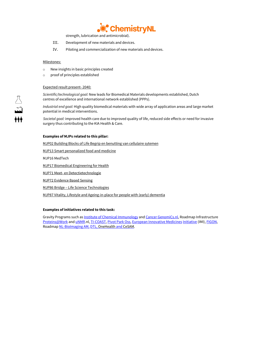

strength, lubrication and antimicrobial).

- III. Development of new materials and devices.
- IV. Piloting and commercialization of new materials and devices.

#### Milestones:

- o New insights in basic principles created
- o proof of principles established

#### Expected result present- 2040:

*Scientific/technological goal:* New leads for Biomedical Materials developments established, Dutch centres of excellence and international network established (PPPs).

*Industrial end goal:* High quality biomedical materials with wide array of application areas and large market potential in medical interventions.

*Societal goal:* improved health care due to improved quality of life, reduced side effects or need for invasive surgery thus contributing to the KIA Health & Care.

#### **Examples o[f MJPs](https://www.hollandhightech.nl/sites/www.hollandhightech.nl/files/inline-files/20191024%20KIA-ST%20Bijlage%20B%20-%20MJP%27s%20overzicht_0.pdf) related to this pillar:**

MJP02 Building Blocks of Life Begrip en benutting van cellulaire sytemen

MJP13 Smart personalized food and medicine

MJP16 MedTech

MJP17 Biomedical Engineering for Health

MJP71 Meet- en Detectietechnologie

MJP72 Evidence Based Sensing

MJP86 Bridge – Life Science Technologies

MJP87 Vitality, Lifestyle and Ageing-in-place for people with (early) dementia

#### **Examples of initiatives related to this task:**

Gravity Programs such as **Institute of Chemical Immunology** an[d Cancer GenomiCs.nl,](http://www.cancergenomics.nl/) Roadmap Infrastructure [Proteins@Work](http://www.netherlandsproteomicscentre.nl/paw) an[d uNMR.](http://www.nmr-nl.org/)nl[, TI-COAST,](http://www.ti-coast.com/) [Pivot Park Oss,](http://www.pivotpark.nl/) [European Innovative Medicines](http://www.imi.europa.eu/) [Initiative](http://www.imi.europa.eu/) (IMI)[, FIGON,](http://figon.nl/nl/Home)  Roadma[p NL-BioImaging AM,](http://eurobioimaging.nl/) [DTL,](http://www.dtls.nl/) [OneHealth](file://userdata/users$/s.koppel/TKI/updaten%20roadmap%20@%20april%202020/ncoh.nl) an[d CeSAM.](http://www.cesam-nnl.com/)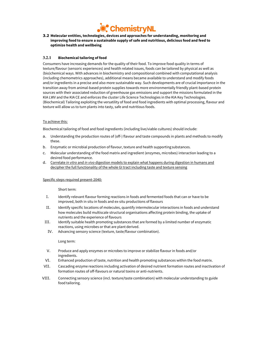

#### **3.2 Molecular entities, technologies, devices and approaches for understanding, monitoring and improving food to ensure a sustainable supply of safe and nutritious, delicious food and feed to optimize health and wellbeing**

#### **3.2.1 Biochemical tailoring of food**

Consumers have increasing demands for the quality of their food. To improve food quality in terms of texture/flavour (sensoric experiences) and health related issues, foods can be tailored by physical as well as (bio)chemical ways. With advances in biochemistry and compositional combined with computational analysis (including chemometrics approaches), additional means became available to understand and modify foods and/or ingredients in a precise and also more sustainable way. Such developments are of crucial importance in the transition away from animal-based protein supplies towards more environmentally friendly plant-based protein sources with their associated reduction of greenhouse gas emissions and support the missions formulated in the KIA LWV and the KIA CE and enforces the cluster Life Science Technologies in the KIA Key Technologies. (Biochemical) Tailoring exploiting the versatility of food and food ingredients with optimal processing, flavour and texture will allow us to turn plants into tasty, safe and nutritious foods.

#### To achieve this:

Biochemical tailoring of food and food ingredients (including live/viable cultures) should include:

- a. Understanding the production routes of (off-) flavour and taste compounds in plants and methods to modify these.
- b. Enzymatic or microbial production of flavour, texture and health supportingsubstances.
- c. Molecular understanding of the food matrix and ingredient (enzymes, microbes) interaction leading to a desired food performance.
- d. Correlate *in vitro* and *in vivo* digestion models to explain what happens during digestion in humans and decipher the full functionality of the whole GI tract including taste and texture sensing

#### Specific steps required present-2040:

#### Short term:

- I. Identify relevant flavour forming reactions in foods and fermented foods that can or have to be improved, both in situ in foods and ex-situ productions of flavours
- II. Identify specific locations of molecules, quantify intermolecular interactions in foods and understand how molecules build multiscale structural organisations affecting protein binding, the uptake of nutrients and the experience of flavours
- III. Identify suitable health promoting substances that are formed by a limited number of enzymatic reactions, using microbes or that are plant derived.
	- IV. Advancing sensory science (texture, taste/flavour combination).

Long term:

- V. Produce and apply enzymes or microbes to improve or stabilize flavour in foods and/or ingredients.
- VI. Enhanced production of taste, nutrition and health promoting substances within the food matrix.
- VII. Cascading enzyme reactions including activation of desired nutrient formation routes and inactivation of formation routes of off-flavours or natural toxins or anti-nutrients.
- VIII. Connecting sensory science (incl. texture/taste combination) with molecular understanding to guide food tailoring.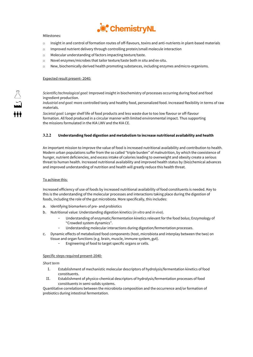

#### Milestones:

- o Insight in and control of formation routes of off-flavours, toxins and anti-nutrients in plant-based materials
- o Improved nutrient delivery through controlling protein/small molecule interaction
- o Molecular understanding of factors impacting texture/taste.
- o Novel enzymes/microbes that tailor texture/taste both in situ and ex-situ.
- o New, biochemically derived health promoting substances, including enzymes andmicro-organisms.

#### Expected result present- 2040:

*Scientific/technological goal:* Improved insight in biochemistry of processes occurring during food and food ingredient production.

*Industrial end goal:* more controlled tasty and healthy food, personalized food. Increased flexibility in terms of raw materials.

*Societal goal:* Longer shelf life of food products and less waste due to too low flavour or off-flavour formation. All food produced in a circular manner with limited environmental impact. Thus supporting the missions formulated in the KIA LWV and the KIA CE.

#### **3.2.2 Understanding food digestion and metabolism to increase nutritional availability and health**

An important mission to improve the value of food is increased nutritional availability and contribution to health. Modern urban populations suffer from the so called "triple burden" of malnutrition, by which the coexistence of hunger, nutrient deficiencies, and excess intake of calories leading to overweight and obesity create a serious threat to human health. Increased nutritional availability and improved health status by (bio)chemical advances and improved understanding of nutrition and health will greatly reduce this health threat.

#### To achieve this:

Increased efficiency of use of foods by increased nutritional availability of food constituents is needed. Key to this is the understanding of the molecular processes and interactions taking place during the digestion of foods, including the role of the gut microbiota. More specifically, this includes:

- a. Identifying biomarkers of pre- and probiotics
- b. Nutritional value: Understanding digestion kinetics (*in vitro* and *in vivo*).
	- Understanding of enzymatic/fermentation kinetics relevant for the food bolus; Enzymology of "Crowded system dynamics".
	- Understanding molecular interactions during digestion/fermentation processes.
- c. Dynamic effects of metabolized food components (host, microbiota and interplay between the two) on tissue and organ functions (e.g. brain, muscle, immune system, gut).
	- Engineering of food to target specific organs or cells.

#### Specific steps required present-2040:

*Short term*

- I. Establishment of mechanistic molecular descriptors of hydrolysis/fermentation kinetics of food constituents.
- II. Establishment of physico-chemical descriptors of hydrolysis/fermentation processes of food constituents in semi-solids systems.

Quantitative correlations between the microbiota composition and the occurrence and/or formation of prebiotics during intestinal fermentation.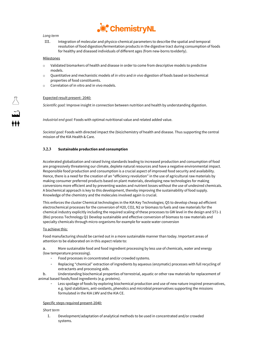

### *Long term*

III. Integration of molecular and physico-chemical parameters to describe the spatial and temporal resolution of food digestion/fermentation products in the digestive tract during consumption of foods for healthy and diseased individuals of different ages (from new-borns toelderly).

#### **Milestones**

- o Validated biomarkers of health and disease in order to come from descriptive models to predictive models.
- o Quantitative and mechanistic models of *in vitro* and *in vivo* digestion of foods based on biochemical properties of food constituents.
- o Correlation of in vitro and in vivo models.

#### Expected result present- 2040:

*Scientific goal:* Improve insight in connection between nutrition and health by understanding digestion.

*Industrial end goal:* Foods with optimal nutritional value and related added value.

*Societal goal:* Foods with directed impact the (bio)chemistry of health and disease. Thus supporting the central mission of the KIA Health & Care.

#### **3.2.3 Sustainable production and consumption**

Accelerated globalization and raised living standards leading to increased production and consumption of food are progressively threatening our climate, deplete natural resources and have a negative environmental impact. Responsible food production and consumption is a crucial aspect of improved food security and availability. Hence, there is a need for the creation of an "efficiency revolution" in the use of agricultural raw materials by making consumer preferred products based on plant materials, developing new technologies for making conversions more efficient and by preventing wastes and nutrient losses without the use of undesired chemicals. A biochemical approach is key to this development, thereby improving the sustainability of food supply. Knowledge of the chemistry and the molecules involved again is crucial.

This enforces the cluster Chemical technologies in the KIA Key Technologies; Q5 to develop cheap ad efficient electrochemical processes for the conversion of H20, CO2, N2 or biomass to fuels and raw materials for the chemical industry explicitly including the required scaling of these processes to GW level in the design and ST1-1 (Bio) process Technology Q1 Develop sustainable and effective conversion of biomass to raw materials and specialty chemicals through micro-organisms for example for waste water conversion

#### To achieve this:

Food manufacturing should be carried out in a more sustainable manner than today. Important areas of attention to be elaborated on in this aspect relate to:

a. More sustainable food and food ingredient processing by less use of chemicals, water and energy (low temperature processing).

- Food processes in concentrated and/or crowded systems.
- Replacing "chemical" extraction of ingredients by aqueous (enzymatic) processes with full recycling of extractants and processing aids.

b. Understanding biochemical properties of terrestrial, aquatic or other raw materials for replacement of animal based foods/food ingredients (e.g. proteins).

Less spoilage of foods by exploring biochemical production and use of new nature inspired preservatives, e.g. lipid stabilizers, anti-oxidants, phenolics and microbial preservatives supporting the missions formulated in the KIA LWV and the KIA CE.

#### Specific steps required present-2040:

#### *Short term*

I. Development/adaptation of analytical methods to be used in concentrated and/or crowded systems.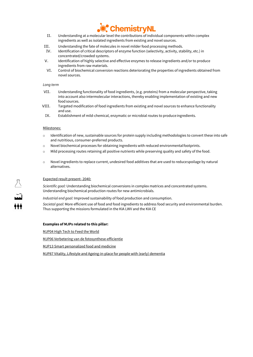

- II. Understanding at a molecular level the contributions of individual components within complex ingredients as well as isolated ingredients from existing and novel sources.
- III. Understanding the fate of molecules in novel milder food processing methods.
- IV. Identification of critical descriptors of enzyme function (selectivity, activity, stability, etc.) in concentrated/crowded systems.
- V. Identification of highly selective and effective enzymes to release ingredients and/or to produce ingredients from raw materials.
- VI. Control of biochemical conversion reactions deteriorating the properties of ingredients obtained from novel sources.

#### *Long term*

- VII. Understanding functionality of food ingredients, (e.g. proteins) from a molecular perspective, taking into account also intermolecular interactions, thereby enabling implementation of existing and new food sources.
- VIII. Targeted modification of food ingredients from existing and novel sources to enhance functionality and use.
	- IX. Establishment of mild-chemical, enzymatic or microbial routes to produce ingredients.

#### Milestones:

- $\circ$  Identification of new, sustainable sources for protein supply including methodologies to convert these into safe and nutritious, consumer-preferred products.
- o Novel biochemical processes for obtaining ingredients with reduced environmentalfootprints.
- $\circ$  Mild processing routes retaining all positive nutrients while preserving quality and safety of the food.
- o Novel ingredients to replace current, undesired food additives that are used to reducespoilage by natural alternatives.

#### Expected result present- 2040:

*Scientific goal:* Understanding biochemical conversions in complex matrices and concentrated systems. Understanding biochemical production routes for new antimicrobials.

*Industrial end goal:* Improved sustainability of food production and consumption.

*Societal goal:* More efficient use of food and food ingredients to address food security and environmental burden. Thus supporting the missions formulated in the KIA LWV and the KIA CE

#### **Examples o[f MJPs](https://www.hollandhightech.nl/sites/www.hollandhightech.nl/files/inline-files/20191024%20KIA-ST%20Bijlage%20B%20-%20MJP%27s%20overzicht_0.pdf) related to this pillar:**

MJP04 High Tech to Feed the World

MJP06 Verbetering van de fotosynthese-efficientie

MJP13 Smart personalized food and medicine

MJP87 Vitality, Lifestyle and Ageing-in-place for people with (early) dementia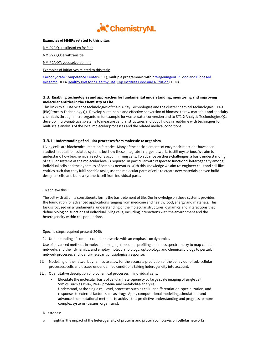

#### **Examples of MMIPs related to this pillar:**

MMIP2A Q11: stikstof en fosfaat

MMIP2A Q3: eiwittransitie

MMIP2A Q7: voedselverspilling

Examples of initiatives related to this task:

[Carbohydrate Competence Center](http://www.cccresearch.nl/nl/) (CCC), multiple programmes withi[n WageningenUR Food and Biobased](http://www.wageningenur.nl/nl/Expertises-Dienstverlening/Onderzoeksinstituten/food-biobased-research.htm) [Research,](http://www.wageningenur.nl/nl/Expertises-Dienstverlening/Onderzoeksinstituten/food-biobased-research.htm) JPI [a Healthy Diet for a Healthy Life,](https://www.healthydietforhealthylife.eu/) [Top Institute Food and Nutrition](http://www.tifn.nl/) (TIFN).

#### **3.3. Enabling technologies and approaches for fundamental understanding, monitoring and improving molecular entities in the Chemistry of Life**

This links to all Life Science technologies of the KIA Key Technologies and the cluster chemical technologies ST1-1 (Bio)Process Technology Q1: Develop sustainable and effective conversion of biomass to raw materials and specialty chemicals through micro-organisms for example for waste water conversion and to ST1-2 Analytic Technologies Q2: develop micro-analytical systems to measure cellular structures and body fluids in real-time with techniques for multiscale analysis of the local molecular processes and the related medical conditions.

#### **3.3.1 Understanding of cellular processes from molecule to organism**

Living cells are biochemical reaction factories. Many of the basic elements of enzymatic reactions have been studied in detail for isolated systems but how these integrate in large networks is still mysterious. We aim to understand how biochemical reactions occur in living cells. To advance on these challenges, a basic understanding of cellular systems at the molecular level is required, in particular with respect to functional heterogeneity among individual cells and the dynamics of complex networks. With this knowledge we aim to: engineer cells and cell like entities such that they fulfil specific tasks, use the molecular parts of cells to create new materials or even build designer cells, and build a synthetic cell from individual parts.

#### To achieve this:

The cell with all of its constituents forms the basic element of life. Our knowledge on these systems provides the foundation for advanced applications ranging from medicine and health, food, energy and materials. This task is focused on a fundamental understanding of the molecular structures, dynamics and interactions that define biological functions of individual living cells, including interactions with the environment and the heterogeneity within cell populations.

#### Specific steps required present-2040:

I. Understanding of complex cellular networks with an emphasis on dynamics.

Use of advanced methods in molecular imaging, ribosomal profiling and mass spectrometry to map cellular networks and their dynamics, and employ molecular biology, optobiology and chemical biology to perturb network processes and identify relevant physiological response.

- II. Modelling of the network dynamics to allow for the accurate prediction of the behaviour of sub-cellular processes, cells and tissues under defined conditions taking heterogeneity into account.
- III. Quantitative description of biochemical processes in individual cells.
	- Elucidate the molecular basis of cellular heterogeneity by large scale imaging of single cell 'omics' such as DNA-, RNA-, protein- and metabolite-analysis.
	- Understand, at the single cell level, processes such as cellular differentiation, specialization, and responses to external factors such as drugs. Apply computational modelling, simulations and advanced computational methods to achieve this predictive understanding and progress to more complex systems (tissues, organisms).

#### Milestones:

o Insight in the impact of the heterogeneity of proteins and protein complexes on cellularnetworks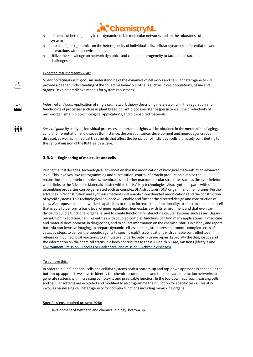

- o Influence of heterogeneity in the dynamics of bio molecular networks and on the robustness of systems.
- o Impact of (epi-) genomics on the heterogeneity of individual cells, cellular dynamics, differentiation and interactions with the environment.
- o Utilize the knowledge on network dynamics and cellular heterogeneity to tackle main societal challenges.

#### Expected result present- 2040:

iii

*Scientific/technological goal:* An understanding of the dynamics of networks and cellular heterogeneity will provide a deeper understanding of the collective behaviour of cells such as in cell populations, tissue and organs. Develop predictive models for system robustness.

*Industrial end goal:* Application of single cell network theory describing meta-stability in the regulation and functioning of processes such as in plant breeding, antibiotics resistance (persistence), the productivity of micro-organisms in biotechnological applications, and bio-inspired materials.

*Societal goal:* By studying individual processes, important insights will be obtained in the mechanism of aging, cellular differentiation and disease (for instance, the onset of cancer development and neurodegenerative disease), as well as in medical treatments that affect the behaviour of individual cells ultimately contributing to the central mission of the KIA Health & Care.

#### **3.3.2 Engineering of molecules and cells**

During the last decades, technological advances enable the modification of biological materials at an advanced level. This involves DNA reprogramming and substitution, control of protein production but also the reconstitution of protein complexes, membranes and other macromolecular structures such as the cytoskeleton which links to the Advanced Materials cluster within the KIA Key technologies. Also, synthetic parts with selfassembling properties can be generated such as complex DNA structures (DNA origami) and membranes. Further advances in reconstitution and synthesis methods will enable more directed modifications and the construction of hybrid systems. This technological advance will enable and further the directed design and construction of cells. We propose to add networked capabilities to cells to increase their functionality; to construct a minimal cell that is able to perform a basic level of gene regulation, homeostasis with its environment and that even can divide; to build a functional organelle; and to create functionally interacting cellular systems such as an "Organon- a-Chip". In addition, cell-like entities with coupled complex functions can find many applications in medicine and material development; in diagnostics, and to collect information on the chemical status in a body and report back via non-invasive imaging, to prepare dynamic self-assembling structures, to promote complex series of catalytic steps, to deliver therapeutic agents to specific (sub)tissue locations with variable controlled local release or modified local reactions, to stimulate and participate in tissue repair. Especially the diagnostics and the information on the chemical status in a body contributes to th[e KIA Health & Care,](https://www.health-holland.com/public/publications/kia/kennis-en-innovatieagenda-2020-2023-gezondheid-en-zorg.pdf) mission I (lifestyle and environment), mission II (access to Healthcare) and mission III (chronic diseases).

#### To achieve this:

In order to build functional cells and cellular systems both a bottom-up and top-down approach is needed. In the bottom-up approach we have to identify the chemical components and their relevant interaction networks to generate systems with increasing complexity and predicable function. In the top-down approach, existing cells and cellular systems are exploited and modified to re-programme their function for specific tasks. This also involves harnessing cell heterogeneity for complex functions including mimicking organs.

#### Specific steps required present-2040:

I. Development of synthetic and chemical biology, bottom up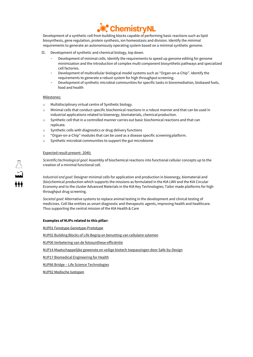

Development of a synthetic cell from building blocks capable of performing basic reactions such as lipid biosynthesis, gene regulation, protein synthesis, ion homeostasis and division. Identify the minimal requirements to generate an autonomously operating system based on a minimal synthetic genome.

- II. Development of synthetic and chemical biology, top down.
	- Development of minimal cells. Identify the requirements to speed up genome editing for genome minimization and the introduction of complex multi component biosyntheticpathways and specialized cell factories.
	- Development of multicellular biological model systems such as "Organ-on-a-Chip". Identify the requirements to generate a robust system for high throughput screening.
	- Development of synthetic microbial communities for specific tasks in bioremediation, biobased fuels, food and health

#### Milestones:

- o Multidisciplinary virtual centre of Synthetic biology.
- o Minimal cells that conduct specific biochemical reactions in a robust manner and that can be used in industrial applications related to bioenergy, biomaterials, chemical production.
- o Synthetic cell that in a controlled manner carries out basic biochemical reactions and that can replicate.
- o Synthetic cells with diagnostics or drug delivery functions
- o "Organ-on-a-Chip" modules that can be used as a disease specific screeningplatform.
- o Synthetic microbial communities to support the gut microbiome

#### Expected result present- 2040;

*Scientific/technological goal:* Assembly of biochemical reactions into functional cellular concepts up to the creation of a minimal functional cell.

*Industrial end goal:* Designer minimal cells for application and production in bioenergy, biomaterial and (bio)chemical production which supports the missions as formulated in the KIA LWV and the KIA Circular Economy and to the cluster Advanced Materials in the KIA Key Technologies; Tailor made platforms for high throughput drug screening.

*Societal goal:* Alternative systems to replace animal testing in the development and clinical testing of medicines. Cell like entities as smart diagnostic and therapeutic agents, improving health and healthcare. Thus supporting the central mission of the KIA Health & Care

#### **Examples o[f MJPs](https://www.hollandhightech.nl/sites/www.hollandhightech.nl/files/inline-files/20191024%20KIA-ST%20Bijlage%20B%20-%20MJP%27s%20overzicht_0.pdf) related to this pillar:**

MJP01 Fenotype-Genotype-Prototype

MJP02 Building Blocks of Life Begrip en benutting van cellulaire sytemen

MJP06 Verbetering van de fotosynthese-efficiëntie

MJP14 Maatschappelijke gewenste en veilige biotech toepassingen door Safe-by-Design

MJP17 Biomedical Engineering for Health

MJP86 Bridge – Life Science Technologies

MJP92 Medische Isotopen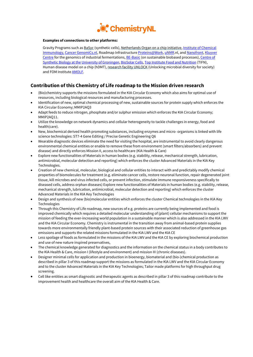

#### **Examples of connections to other platforms:**

Gravity Programs such a[s BaSyc](http://www.basyc.nl/) (synthetic cells)[, Netherlands Organ on a chip initiative,](https://noci-organ-on-chip.nl/) Institute of Chemical [Immunology,](http://chemicalimmunology.nl/nl) [Cancer GenomiCs.nl,](http://www.cancergenomics.nl/) Roadmap Infrastructur[e Proteins@Work,](http://www.netherlandsproteomicscentre.nl/paw) [uNMR.](http://www.nmr-nl.org/)nl, and [Nanofront,](http://casimir.researchschool.nl/home-1963.html) Kluyver [Centre](http://www.kluyvercentre.nl/) for the genomics of industrial fermentations[, BE-Basic](http://www.be-basic.org/) (on sustainable biobased processes), Centre of [Synthetic Biology at the](http://www.rug.nl/research/centre-for-synthetic-biology/) [University of Groningen,](http://www.rug.nl/research/centre-for-synthetic-biology/) [BioSolar Cells,](http://www.biosolarcells.nl/) [Top Institute Food and Nutrition](http://www.tifn.nl/) (TIFN), Human disease model on a chip (hDMT)[, research facility UNLOCK](https://www.nwo.nl/onderzoek-en-resultaten/programmas/nwo/nationale-roadmap-grootschalige-onderzoeksfaciliteiten/projecten-2019-2020.html) (Unlocking microbial diversity for society) and FOM Institut[e AMOLF.](http://www.amolf.nl/)

### **Contribution of this Chemistry of Life roadmap to the Mission driven research**

- (Bio)chemistry supports the missions formulated in the KIA Circular Economy which also aims for optimal use of resources, including biological resources and manufacturing processes.
- Identification of new, optimal chemical processing of new, sustainable sources for protein supply which enforces the KIA Circular Economy; MMIP2AQ3
- Adapt feeds to reduce nitrogen, phosphate and/or sulphur emission which enforces the KIA Circular Economy; MMIP2AQ11.
- Utilize the knowledge on network dynamics and cellular heterogeneity to tackle challenges in energy, food and health(care).
- New, biochemical derived health promoting substances, including enzymes and micro- organisms is linked with life science technologies: ST7-4 Gene Editing / Precise Genetic Engineering Q6
- Wearable diagnostic devices eliminate the need for visiting the hospital, are instrumental to avoid clearly dangerous environmental chemical entities or enable to remove these from environment (smart filters/absorbers) and prevent disease) and directly enforces Mission II, access to healthcare (KIA Health & Care)
- Explore new functionalities of Materials in human bodies (e.g. stability, release, mechanical strength, lubrication, antimicrobial, molecular detection and reporting) which enforces the cluster Advanced Materials in the KIA Key Technologies.
- Creation of new chemical, molecular, biological and cellular entities to interact with and predictably modify chemical properties of biomolecules for treatment (e.g. eliminate cancer cells, restore neuronal function, repair degenerated joint tissue, kill microbes and virus infected cells, or prevent infection, stimulate immune responsiveness specifically to diseased cells, address orphan diseases) Explore new functionalities of Materials in human bodies (e.g. stability, release, mechanical strength, lubrication, antimicrobial, molecular detection and reporting) which enforces the cluster Advanced Materials in the KIA Key Technologies
- Design and synthesis of new (bio)molecular entities which enforces the cluster Chemical technologies in the KIA Key Technologies
- Through this Chemistry of Life roadmap, new sources of e.g. proteins are currently being implemented and food is improved chemically which requires a detailed molecular understanding of (plant) cellular mechanisms to support the mission of feeding the ever-increasing world population in a sustainable manner which is also addressed in the KIA LWV and the KIA Circular Economy. Chemistry is instrumental in the transition away from animal-based protein supplies towards more environmentally friendly plant-based protein sources with their associated reduction of greenhouse gas emissions and supports the related missions formulated in the KIA LWV and the KIA CE
- Less spoilage of foods as formulated in the missions of the KIA LWV and the KIA CE by exploring biochemical production and use of new nature inspired preservatives,
- The chemical knowledge generated for diagnostics and the information on the chemical status in a body contributes to the KIA Health & Care, mission I (lifestyle and environment) and mission III (chronic diseases).
- Designer minimal cells for application and production in bioenergy, biomaterial and (bio-)chemical production as described in pillar 3 of this roadmap support the missions as formulated in the KIA LWV and the KIA Circular Economy and to the cluster Advanced Materials in the KIA Key Technologies; Tailor made platforms for high throughput drug screening.
- Cell like entities as smart diagnostic and therapeutic agents as described in pillar 3 of this roadmap contribute to the improvement health and healthcare the overall aim of the KIA Health & Care.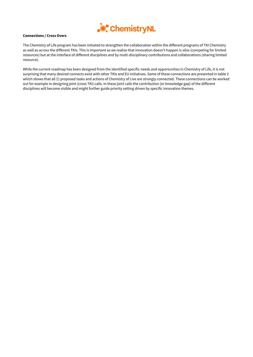

#### **Connections / Cross Overs**

The Chemistry of Life program has been initiated to strengthen the collaboration within the different programs of TKI Chemistry as well as across the different TKIs. This is important as we realize that innovation doesn't happen is silos (competing for limited resources) but at the interface of different disciplines and by multi-disciplinary contributions and collaborations (sharing limited resource).

While the current roadmap has been designed from the identified specific needs and opportunities in Chemistry of Life, it is not surprising that many desired connects exist with other TKIs and EU initiatives. Some of these connections are presented in table 2 which shows that all (!) proposed tasks and actions of Chemistry of Live are strongly connected. These connections can be worked out for example in designing joint (cross TKI) calls. In these joint calls the contribution (or knowledge gap) of the different disciplines will become visible and might further guide priority setting driven by specific innovation themes.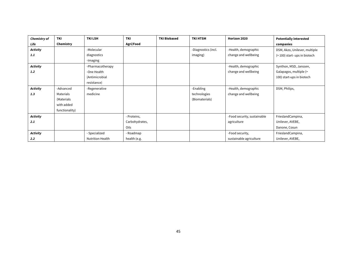| Chemistry of    | <b>TKI</b>     | <b>TKI LSH</b>          | <b>TKI</b>     | <b>TKI Biobased</b> | <b>TKI HTSM</b>     | Horizon 2020                | <b>Potentially interested</b> |
|-----------------|----------------|-------------------------|----------------|---------------------|---------------------|-----------------------------|-------------------------------|
| Life            | Chemistry      |                         | Agri/Food      |                     |                     |                             | companies                     |
| <b>Activity</b> |                | -Molecular              |                |                     | -Diagnostics (incl. | -Health, demographic        | DSM, Akzo, Unilever, multiple |
| 1.1             |                | diagnostics             |                |                     | imaging)            | change and wellbeing        | $($ 200) start-ups in biotech |
|                 |                | -Imaging                |                |                     |                     |                             |                               |
| <b>Activity</b> |                | -Pharmacotherapy        |                |                     |                     | -Health, demographic        | Synthon, MSD, Janssen,        |
| 1.2             |                | -One Health             |                |                     |                     | change and wellbeing        | Galapagos, multiple (>        |
|                 |                | (Antimicrobial          |                |                     |                     |                             | 100) start-ups in biotech     |
|                 |                | resistance)             |                |                     |                     |                             |                               |
| <b>Activity</b> | -Advanced      | -Regenerative           |                |                     | -Enabling           | -Health, demographic        | DSM, Philips,                 |
| 1.3             | Materials      | medicine                |                |                     | technologies        | change and wellbeing        |                               |
|                 | (Materials     |                         |                |                     | (Biomaterials)      |                             |                               |
|                 | with added     |                         |                |                     |                     |                             |                               |
|                 | functionality) |                         |                |                     |                     |                             |                               |
| <b>Activity</b> |                |                         | - Proteins,    |                     |                     | -Food security, sustainable | FrieslandCampina,             |
| 2.1             |                |                         | Carbohydrates, |                     |                     | agriculture                 | Unilever, AVEBE,              |
|                 |                |                         | Oils           |                     |                     |                             | Danone, Cosun                 |
| <b>Activity</b> |                | - Specialized           | - Roadmap      |                     |                     | -Food security,             | FrieslandCampina,             |
| 2.2             |                | <b>Nutrition Health</b> | health (e.g.   |                     |                     | sustainable agriculture     | Unilever, AVEBE,              |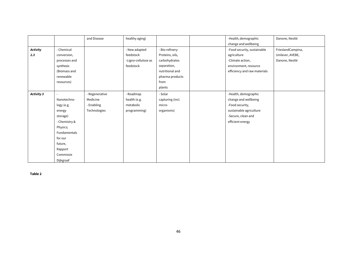|                 |               | and Disease    | healthy aging)      |                  | -Health, demographic         | Danone, Nestlé    |
|-----------------|---------------|----------------|---------------------|------------------|------------------------------|-------------------|
|                 |               |                |                     |                  | change and wellbeing         |                   |
| <b>Activity</b> | - Chemical    |                | - New adapted       | - Bio-refinery:  | -Food security, sustainable  | FrieslandCampina, |
| 2.3             | conversion,   |                | feedstock           | Proteins, oils,  | agriculture                  | Unilever, AVEBE,  |
|                 | processes and |                | -Ligno-cellulose as | carbohydrates    | -Climate action,             | Danone, Nestlé    |
|                 | synthesis     |                | feedstock           | separation,      | environment, resource        |                   |
|                 | (Biomass and  |                |                     | nutritional and  | efficiency and raw materials |                   |
|                 | renewable     |                |                     | pharma products  |                              |                   |
|                 | resources)    |                |                     | from             |                              |                   |
|                 |               |                |                     | plants           |                              |                   |
| Activity 3      |               | - Regenerative | - Roadmap           | - Solar          | -Health, demographic         |                   |
|                 | Nanotechno-   | Medicine       | health (e.g.        | capturing (incl. | change and wellbeing         |                   |
|                 | logy (e.g.    | - Enabling     | metabolic           | micro-           | -Food security,              |                   |
|                 | energy        | Technologies   | programming)        | organisms)       | sustainable agriculture      |                   |
|                 | storage)      |                |                     |                  | -Secure, clean and           |                   |
|                 | - Chemistry & |                |                     |                  | efficient energy             |                   |
|                 | Physics;      |                |                     |                  |                              |                   |
|                 | Fundamentals  |                |                     |                  |                              |                   |
|                 | for our       |                |                     |                  |                              |                   |
|                 | future,       |                |                     |                  |                              |                   |
|                 | Rapport       |                |                     |                  |                              |                   |
|                 | Commissie     |                |                     |                  |                              |                   |
|                 | Dijkgraaf     |                |                     |                  |                              |                   |

**Table 2**